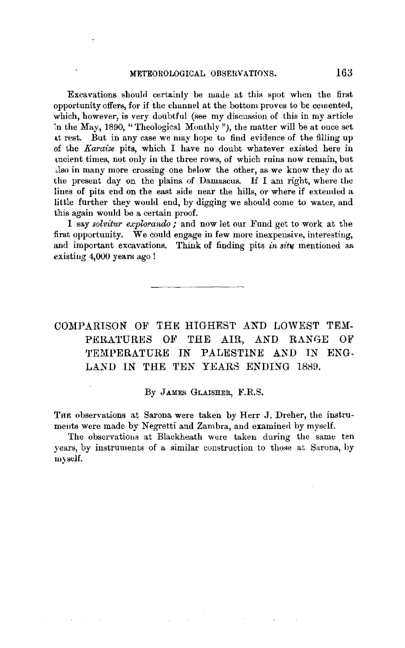Excavations should certainly be made at this spot when the first opportunity offers, for if the channel at the bottom proves to be cemented, which, however, is very doubtful (see my discussion of this in my article 'n the May, 1890, "Theological Monthly"), the matter will be at once set ~t rest. But in any case we may hope to find evidence of the filling up of the *Karaize* pits, which I have no doubt whatever existed here in tncient times, not only in the three rows, of which ruins now remain, but ,lso in many more crossing one below the other, as we know they do at the present day on the plains of Damascus. If I am right, where the lines of pits end on the east side near the hills, or where if extended a little further they would end, by digging we should come to water, and this again would be a certain proof.

I say *solvitur explorando;* and now Jet our Fund get to work at the first opportunity. We could engage in few more inexpensive, interesting, and important excavations. Think of finding pits in sity mentioned as existiug 4,000 years ago !

# COMPARISON OF THE HIGHEST AND LOWEST TEM-PERATURES OF THE AIR, AND RANGE OF TEMPERATURE JN PALESTINE AND IN ENG-LAND IN THE TEN YEARS ENDING 1889.

By JAMES GLAISHER, F.R.S.

TnE observations at Sarona were taken by Herr J. Dreher, the instruments were made by Negretti and Zambra, and examined by myself.

The observatious at Blackheath were taken during the same ten years, by instruments of a similar construction to those at Sarona, by my self.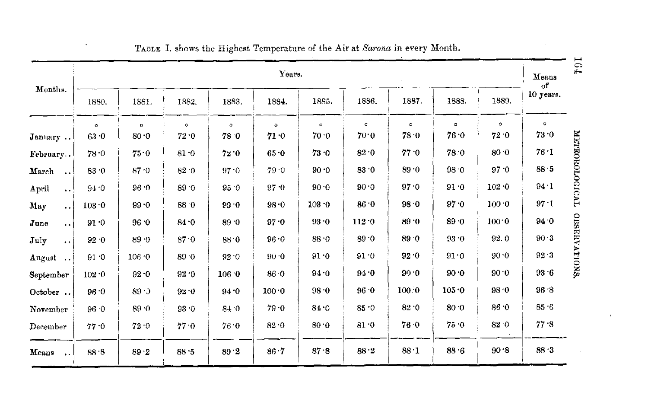| Months.                            |           |              |              |          | Years.  |         |         |         |           |                 | Means<br>of     |
|------------------------------------|-----------|--------------|--------------|----------|---------|---------|---------|---------|-----------|-----------------|-----------------|
|                                    | 1880.     | 1881.        | 1882.        | 1883.    | 1884.   | 1885.   | 1886.   | 1887.   | 1888.     | 1889.           | 10 years.       |
|                                    | $\bullet$ | $\mathbf{o}$ | $\mathsf{o}$ | $\circ$  | $\circ$ | $\circ$ | $\circ$ | $\circ$ | $\bullet$ | $\bullet$       | $\circ$<br>73.0 |
| January                            | 63.0      | 80.0         | 72.0         | 78.0     | 71.0    | 70.0    | 70.0    | 78.0    | 76.0      | 72.0            |                 |
| February                           | 78.0      | 75.0         | 81.0         | 72.0     | 65.0    | 73.0    | 82.0    | 77.0    | 78:0      | 80.0            | 76.1            |
| March<br>$\sim$                    | 83.0      | 87.0         | 82.0         | 97.0     | 79.0    | 90.0    | 83.0    | 89.0    | 98.0      | 97.0            | 88.5            |
| April<br>$\mathbf{r}$ .            | 94.0      | 96.0         | 89.0         | 95.0     | 97.0    | 90.0    | 90.0    | 97.0    | 91.0      | 102.0           | 94.1            |
| May<br>$\ddot{\phantom{a}}$        | 103.0     | 99.0         | 88.0         | 99.0     | 98.0    | 103.0   | 0.98    | 98.0    | 97.0      | 100.0           | 97.1            |
| June<br>$\ddot{\phantom{0}}$       | 91.0      | 96.0         | 84.0         | $89 - 0$ | 97.0    | 93.0    | 112.0   | 89.0    | 89.0      | 100.0           | 94.0            |
| July<br>$\ddot{\phantom{0}}$       | 92.0      | 89.0         | 87.0         | 88.0     | 96.0    | 88.0    | 89.0    | 89 0    | 93.0      | 92.0            | 90.3            |
| August                             | 91 0      | 106.0        | 89.0         | 92.0     | 90.0    | 91.0    | 91.0    | 92.0    | 91.0      | 90.0            | 92 3            |
| September                          | 102.0     | $92 - 0$     | $92\cdot 0$  | 106.0    | 86.0    | 94.0    | 94.0    | 90.0    | 90.0      | 90.0            | 93.6            |
| October                            | 96.0      | 89.0         | $92 - 0$     | 94.0     | 100.0   | 98.0    | 96.0    | 100.0   | 105.0     | 98.0            | 96.8            |
| November                           | 96.0      | 89.0         | 93.0         | 84.0     | 79.0    | 84.0    | 85.0    | 82.0    | 80.0      | 86.0            | 85 6            |
| December                           | 77.0      | 72.0         | 77.0         | 76.0     | 82.0    | 80.0    | 81.0    | 76.0    | 75.0      | 82 <sub>0</sub> | $77^\circ 8$    |
| Means<br>$\ddot{\phantom{0}}\cdot$ | 88.8      | $89-2$       | 88.5         | 89.2     | 86.7    | 87.8    | 88.2    | 88.1    | 88.6      | 90.8            | 88.3            |

TABLE I. shows the Highest Temperature of the Air at Sarona in every Month.

 $\frac{1}{10}$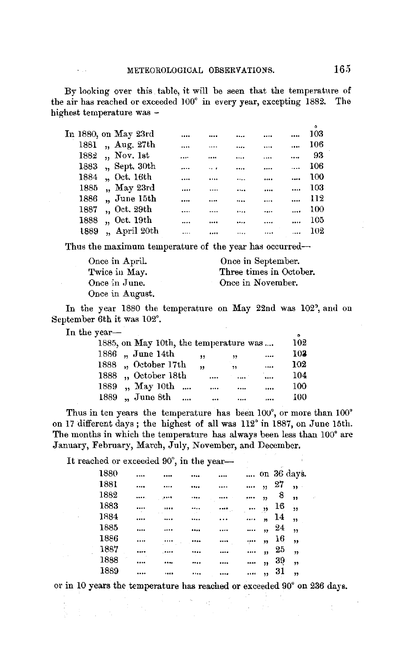METEOROLOGICAL OBSERVATIONS. 165

By looking over this table, it will be seen that the temperature of the air has reached or exceeded 100° in every year, excepting 1882. The highest temperature was -

| In 1880, on May 23rd |                |              |      |          | <br> | <br>103 |
|----------------------|----------------|--------------|------|----------|------|---------|
| 1881                 |                | ,, Aug. 27th | 1.14 |          | <br> | <br>106 |
| 1882                 | "Nov. 1st      |              |      |          | <br> | <br>93  |
| 1883                 |                | " Sept. 30th |      | $\cdots$ | <br> | 106     |
| 1884                 | " Oct. 16th    |              |      |          | <br> | 100     |
| 1885                 | $,$ May $23rd$ |              |      |          | <br> | 103     |
| 1886                 |                | " June 15th  |      |          | <br> | 112     |
| 1887                 | ., Oct. 29th   |              |      |          | <br> | 100     |
| 1888                 | " Oct. 19th    |              |      |          |      | 105     |
| 1889                 |                | " April 20th |      |          |      | 102     |
|                      |                |              |      |          |      |         |

Thus the maximum temperature of the year has occurred-

| Once in April.  | Once in September.      |
|-----------------|-------------------------|
| Twice in May.   | Three times in October. |
| Once in June.   | Once in November.       |
| Once in August. |                         |

In the year 1880 the temperature on May 22nd was 102', and on September 6th it was 102°.

In the year-

 $\begin{aligned} \sum_{i=1}^n \left\{ \begin{array}{ll} \mathbb{E}[\mathbf{1}_{\{i\}}] & \mathbb{E}[\mathbf{1}_{\{i\}}] & \mathbb{E}[\mathbf{1}_{\{i\}}] \\ \mathbb{E}[\mathbf{1}_{\{i\}}] & \mathbb{E}[\mathbf{1}_{\{i\}}] & \mathbb{E}[\mathbf{1}_{\{i\}}] \end{array} \right. \end{aligned}$ 

| 1885, on May 10th, the temperature was |        |           |        |          | 102 |
|----------------------------------------|--------|-----------|--------|----------|-----|
| 1886  June 14th                        |        | ,,        | ,,     |          | 102 |
| 1888 . October 17th                    |        | $\bullet$ | ,,     | $\cdots$ | 102 |
| 1888 "October 18th                     |        | $\cdots$  | المعدد | $\cdots$ | 104 |
| 1889 "May 10th                         | $\sim$ | $\cdots$  |        |          | 100 |
| 1889, June 8th                         |        |           |        | $\cdots$ | 100 |
|                                        |        |           |        |          |     |

Thus in ten years the temperature has been 100°, or more than 100' on 17 different days; the highest of all was 112° in 1887, on June 15th. The months in which the temperature has always been less than 100° are January, February, March, July, November, and December.

It reached or exceeded 90°, in the year-

| 1880 | <br>       | <br> |      |                         |    | on 36 days.  |
|------|------------|------|------|-------------------------|----|--------------|
| 1881 | <br>       |      |      | ,,                      | 27 | $11 -$       |
| 1882 | <br>1.1111 |      |      | 12                      | 8  | 99           |
| 1883 | <br>       |      | è sa | $\boldsymbol{\eta}$     | 16 | 55           |
| 1884 | <br>       |      |      | $\overline{\mathbf{u}}$ | 14 | ,,           |
| 1885 | <br>       |      |      | 39                      | 24 | $^{\bullet}$ |
| 1886 |            | <br> | معيہ | ,,                      | 16 | $^{\circ}$   |
| 1887 | <br>       | <br> |      | 99                      | 25 | ,            |
| 1888 | <br>       | <br> |      | ,,                      | 39 | ,            |
| 1889 | <br>1000   | <br> |      | ,,                      | 31 | ,            |

 $\mathcal{L}^{\mathcal{L}}_{\mathcal{L}}$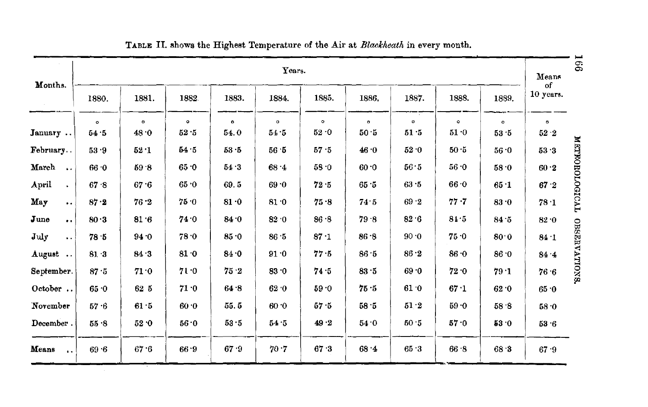| Months.                                  | Years.  |          |         |           |         |         |           |          |           |              |             |  |
|------------------------------------------|---------|----------|---------|-----------|---------|---------|-----------|----------|-----------|--------------|-------------|--|
|                                          | 1880.   | 1881.    | 1882.   | 1883.     | 1884.   | 1885.   | 1886.     | 1887.    | 1888.     | 1889.        | 10 years.   |  |
|                                          | $\circ$ | $\circ$  | $\circ$ | $\bullet$ | $\circ$ | $\circ$ | $\bullet$ | $\sigma$ | $\bullet$ | $\mathbf{o}$ | $\bullet$   |  |
| January                                  | 54.5    | 48.0     | 52.5    | 54.0      | 54.5    | 52.0    | $50-5$    | 51.5     | 51.0      | 53.5         | $52\cdot 2$ |  |
| February                                 | 53.9    | 52.1     | 54.5    | $53 - 5$  | 56.5    | 57.5    | 46.0      | 52.0     | $50-5$    | 56.0         | 53.3        |  |
| March                                    | 66.0    | 598      | 65.0    | 54.3      | 68.4    | 58.0    | 60.0      | 56.5     | $56 - 0$  | 58.0         | $60\cdot 2$ |  |
| April<br>$\bullet$                       | 67.8    | 67.6     | 65.0    | 69.5      | 69.0    | 72.5    | 65.5      | 63.5     | 66.0      | $65 \cdot 1$ | 67.2        |  |
| May<br>$\ddot{\phantom{a}}$              | 87.2    | $76 - 2$ | 75.0    | 81.0      | 81.0    | 75.8    | 74.5      | 69.2     | $77 - 7$  | 83.0         | 78.1        |  |
| $_{\text{June}}$<br>$\ddot{\phantom{a}}$ | 80.3    | 81.6     | 74.0    | 84.0      | 82.0    | 86.8    | 79.8      | 82.6     | 81.5      | 84.5         | 82.0        |  |
| July<br>$\sim$ $\sim$                    | 78.5    | 94.0     | 78.0    | 85.0      | 86.5    | 87.1    | 86.8      | 90.0     | 75.0      | 80.0         | 84.1        |  |
| August                                   | 81.3    | 84.3     | 81.0    | 84.0      | 91.0    | 77.5    | 86.5      | 86.2     | 86.0      | 86.0         | 84.4        |  |
| September.                               | 87.5    | 71.0     | 71.0    | 75.2      | 83.0    | 74.5    | 83.5      | 69.0     | 72.0      | 79.1         | 76.6        |  |
| October                                  | 65.0    | 62 5     | 71.0    | 64.8      | 62.0    | 59.0    | $75 - 5$  | 61.0     | 67.1      | 62.0         | 65.0        |  |
| November                                 | 57.6    | 61.5     | 60.0    | 55.5      | 60.06   | 57.5    | 58.5      | 51.2     | 59.0      | 58.8         | 58.0        |  |
| December.                                | 55.8    | 52.0     | 56.0    | 53.5      | 54.5    | 49.2    | 54.0      | 50.5     | 57.0      | 53.0         | 53.6        |  |
| Means<br>$\ddot{\phantom{a}}$            | 69.6    | 67.6     | 66.9    | 67.9      | 70.7    | 67.3    | 68.4      | 65.3     | 66.8      | 68.3         | 67.9        |  |

TABLE II. shows the Highest Temperature of the Air at Blackheath in every month.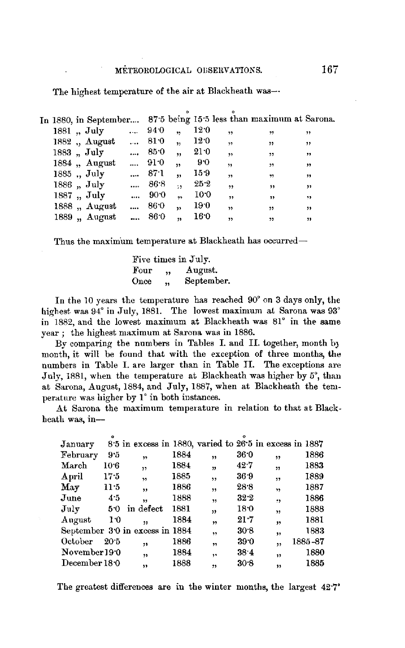The highest temperature of the air at Blackheath was---

| In 1880, in September 875 being 155 less than maximum at Sarona. |                 |               |                      |                 |                         |                         |                         |
|------------------------------------------------------------------|-----------------|---------------|----------------------|-----------------|-------------------------|-------------------------|-------------------------|
| 1881 ,, July                                                     | $\sim 10^{-10}$ | -940          | ,,                   | 12.0            | $\overline{\mathbf{1}}$ | ,,                      | ,,                      |
| 1882, August                                                     | $\cdots$        | 81.0          | $\ddot{\mathbf{r}}$  | 12.0            | , ,                     | ,,                      | ,                       |
| 1883  July                                                       | $\cdots$        | 85 0          | $\ddot{\phantom{a}}$ | 21:0            | ,                       | 99                      | ,,                      |
| 1884 "August                                                     |                 | $\ldots$ 91.0 | ă.                   | 90              | ,                       | , ,                     | ,,                      |
| 1885, July                                                       | $\cdots$        | - 871         | ,,                   | 15.9            | ,                       | $\overline{\mathbf{1}}$ | $\ddot{\phantom{1}}$    |
| $1886$ , July                                                    |                 | $\ldots$ 86.8 | $\mathbf{B}$         | 25.2            | ,                       | ,                       | ,,                      |
| 1887 "July                                                       | $\cdots$        | 90.0          | $\ddot{\phantom{1}}$ | 10:0            | ,                       | ,                       | 99                      |
| 1888, August                                                     | $\cdots$        | 86.0          | $\ddot{ }$           | 19.0            | $^{\bullet\bullet}$     | ,,                      | ,,                      |
| 1889, August                                                     | $\cdots$        | 860           | ,,                   | 16 <sub>0</sub> | ,                       | , ,                     | $\overline{\mathbf{1}}$ |
|                                                                  |                 |               |                      |                 |                         |                         |                         |

Thus the maximum temperature at Blackheath has occurred-

|      |    | Five times in July. |
|------|----|---------------------|
| Four | 73 | August.             |
| Once | ,, | September.          |

In the 10 years the temperature has reached 90° on 3 days only, the highest was 94° in July, 1881. The lowest maximum at Sarona was 93° in 1882, and the lowest maximum at Blackheath was 81° in the same year ; the highest maximum at Sarona was in 1886.

By comparing the numbers in Tables I. and II. together, month by month, it will be found that with the exception of three months, the numbers in Table I. are larger than in Table II. The exceptions are July, 1881, when the temperature at Blackheath was higher by 5°, than at Sarona, August, 1884, and July, 1887, when at Blackheath the temperature was higher by 1° in both instances.

At Sarona the maximum temperature in relation to that at Blackheath was, in-

| January       |      | 8.5 in excess in 1880, varied to 26.5 in excess in 1887 |      |            |          |                         |         |
|---------------|------|---------------------------------------------------------|------|------------|----------|-------------------------|---------|
| February      | 9.5  | $\bullet$                                               | 1884 | ,,         | 360      | ,,                      | 1886    |
| March         | 10.6 | ,                                                       | 1884 | 99         | 427      | ,,                      | 1883    |
| April         | 17:5 | $\overline{\phantom{a}}$                                | 1885 | ,,         | 36.9     | 99                      | 1889    |
| May           | 11:5 | ,,                                                      | 1886 | ,,         | 28.8     | $^{\prime}$             | 1887    |
| June          | 4.5  | ,,                                                      | 1888 | ,,         | $32 - 2$ | $\bullet$               | 1886    |
| July          | 50   | in defect                                               | 1881 | ,,         | 180      | $\overline{\mathbf{v}}$ | 1888    |
| August        | 10   | ,,                                                      | 1884 | $\ddot{ }$ | 21.7     | 99                      | 1881    |
|               |      | September 30 in excess in 1884                          |      | \$9        | 30.8     | ,,                      | 1883    |
| October       | 20.5 | ,,                                                      | 1886 | ,,         | 39.0     | ,,                      | 1885-87 |
| November 190  |      | ,                                                       | 1884 | ٠,         | 384      | ,,                      | 1880    |
| December 18.0 |      | ,                                                       | 1888 | ,,         | 30.8     | ,                       | 1885    |
|               |      |                                                         |      |            |          |                         |         |

The greatest differences are in the winter months, the largest 42·7'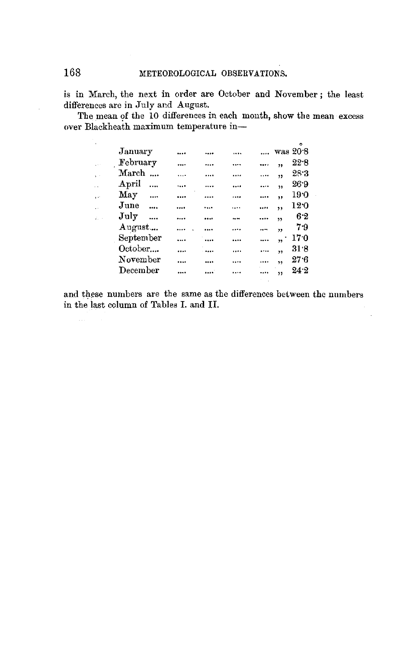is in March, the next in order are October and November; the least differences are in July and August.

The mean of the 10 differences in each month, show the mean excess over Blackheath maximum temperature in-

|    | January   |           |  |      |                         | was 20.8 |
|----|-----------|-----------|--|------|-------------------------|----------|
|    | February  |           |  |      | ,,                      | 22.8     |
|    | March     |           |  | <br> | ,,                      | 28.3     |
|    | April     |           |  | <br> | ,,                      | 26.9     |
| ė, | May       | $\ddotsc$ |  | <br> | ,,                      | 190      |
| ò. | June      |           |  | <br> | ,,                      | 120      |
|    | July      |           |  |      | 55                      | 6.2      |
|    | August    |           |  |      | $\overline{\mathbf{z}}$ | 79       |
|    | September |           |  | <br> | $\overline{\mathbf{r}}$ | 170      |
|    | October   |           |  | <br> | 55                      | 31.8     |
|    | November  |           |  |      | ,,                      | 27.6     |
|    | December  |           |  |      | 55                      | 24.2     |
|    |           |           |  |      |                         |          |

and these numbers are the same as the differences between the numbers in the last column of Tables I. and II.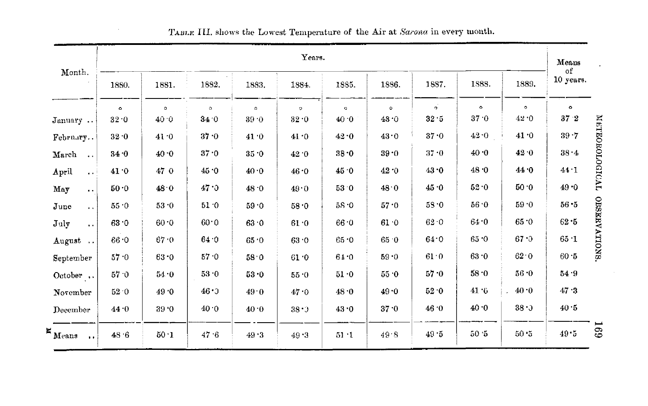|                                                        |           | Years.   |         |       |         |         |           |         |           |         |                               |  |  |
|--------------------------------------------------------|-----------|----------|---------|-------|---------|---------|-----------|---------|-----------|---------|-------------------------------|--|--|
| Month.                                                 | 1880.     | 1881.    | 1882.   | 1883. | 1884.   | 1885.   | 1886.     | 1887.   | 1888.     | 1889.   | of<br>10 years.               |  |  |
|                                                        | $\bullet$ | $\circ$  | $\circ$ | ٥     | $\circ$ | $\circ$ | $\bullet$ | $\circ$ | $\bullet$ | $\circ$ | $\bullet$                     |  |  |
| January                                                | 32.0      | 40.0     | 34.0    | 39.0  | 32.0    | 40.0    | 43.0      | 32.5    | 37.0      | 42.0    | 37.2                          |  |  |
| February                                               | 32.0      | 41.0     | 37.0    | 41.0  | 41.0    | 42.0    | 43.0      | 37.0    | 42.0      | 41.0    | 39.7                          |  |  |
| March<br>$\sim$                                        | 34.0      | $40 - 0$ | 37.0    | 35.0  | 42.0    | 38.0    | 39.0      | 37.0    | 40.0      | 42.0    | METEOROLOGICAL<br>$38 - 4$    |  |  |
| April<br>$\ddot{\phantom{a}}$ .                        | 41.0      | 47 0     | 45.0    | 40.0  | 46.0    | 45.0    | 42.0      | 43.0    | 48.0      | 44.0    | 44.1                          |  |  |
| May<br>$\ddot{\phantom{a}}$                            | $50-0$    | 48.0     | 47.0    | 48.0  | 49.0    | 53 0    | 48.0      | 45.0    | 52 0      | 50.0    | 49.0                          |  |  |
| June<br>$\ddot{\phantom{a}}$ .                         | 55.0      | 53.0     | 51.0    | 59.0  | 58.0    | 58.0    | 57.0      | 58.0    | 56 0      | 59.0    | $56\, \cdot\! 5$              |  |  |
| July<br>$\ddot{\phantom{a}}$                           | 63.0      | 60.06    | 60.0    | 63.0  | 61.0    | 66.0    | 61 0      | 62.0    | 64.0      | 65.0    | <b>OBSERVATIONS</b><br>62.5   |  |  |
| August                                                 | 66.0      | 67.0     | 64.0    | 65.0  | 63.0    | 65.0    | 65.0      | 64.0    | 65.0      | 67.0    | 65.1                          |  |  |
| September                                              | 57.0      | 63.0     | 57.0    | 58.0  | 61.0    | 64.0    | 59.0      | 61.0    | 63.0      | 62.0    | $60 - 5$                      |  |  |
| October $\ldots$                                       | 57.0      | 54.0     | 53.0    | 53.0  | 55.0    | 51.0    | 55.0      | 57.0    | 58.0      | 56.0    | 54 9                          |  |  |
| November                                               | 52 0      | 49.0     | 46.0    | 49 0  | 47.0    | 48.0    | 49.0      | 52 0    | 41.6      | 40.0    | 47.3                          |  |  |
| December                                               | 44.0      | 39.0     | 40.0    | 40.0  | 38.0    | 43.0    | 37.0      | 46.0    | 40.0      | 38.0    | 40.5                          |  |  |
| $\boldsymbol{\varepsilon}_{\text{Means}}$<br>$\bullet$ | 48.6      | 50.1     | 47.6    | 49.3  | 49.3    | 51.1    | 49.8      | 49.5    | 50.5      | 50.5    | <b>169</b><br>$49\,^{\circ}5$ |  |  |

## TABLE III. shows the Lowest Temperature of the Air at Sarona in every month.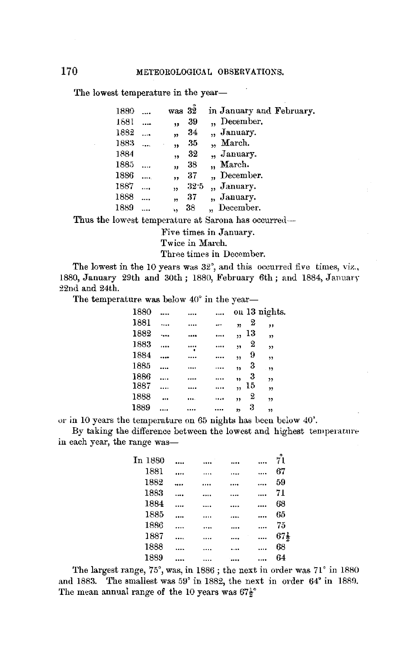The lowest temperature in the year-

| December.<br>1881<br>39<br><br>,,<br>"January.<br>1882<br>34<br>لمددد<br>'n<br>"March.<br>1883<br>35.<br>,,<br>1884<br>" January.<br>32<br>,,<br>" March.<br>1885<br>38.<br>'n<br>December.<br>1886<br>37<br><br>,,<br>1887<br>"January.<br>32.5<br><br>,<br>1888<br>"January.<br>37<br>,,<br>December.<br>1889<br>38<br>٠٠ | 1880 | was <sub>32</sub> | in January and February. |
|-----------------------------------------------------------------------------------------------------------------------------------------------------------------------------------------------------------------------------------------------------------------------------------------------------------------------------|------|-------------------|--------------------------|
|                                                                                                                                                                                                                                                                                                                             |      |                   |                          |
|                                                                                                                                                                                                                                                                                                                             |      |                   |                          |
|                                                                                                                                                                                                                                                                                                                             |      |                   |                          |
|                                                                                                                                                                                                                                                                                                                             |      |                   |                          |
|                                                                                                                                                                                                                                                                                                                             |      |                   |                          |
|                                                                                                                                                                                                                                                                                                                             |      |                   |                          |
|                                                                                                                                                                                                                                                                                                                             |      |                   |                          |
|                                                                                                                                                                                                                                                                                                                             |      |                   |                          |
|                                                                                                                                                                                                                                                                                                                             |      |                   |                          |

Thus the lowest temperature at Sarona has occurred-

Five times in January.

Twice in March.

Three times in December.

The lowest in the 10 years was 32°, and this occurred five times, viz., 1880, January 29th and 30th; 1880, February 6th; and 1884, January 22nd and 24th.

The temperature was below  $40^{\circ}$  in the year-

| 1880 |  |        |    | on 13 nights. |
|------|--|--------|----|---------------|
| 1881 |  | <br>77 | 2  | ,,            |
| 1882 |  | ,,     | 13 | "             |
| 1883 |  | ,,     | 2  | ,,            |
| 1884 |  | ٠,     | 9  | ,,            |
| 1885 |  | ,,     | 3  | .99           |
| 1886 |  | ,,     | 3  | , ,           |
| 1887 |  |        | 15 | ,,            |
| 1888 |  | "      | 2  | ,,            |
| 1889 |  | "      | 3  | 11            |

or in 10 years the temperature on 65 nights has been below 40°.

By taking the difference between the lowest and highest temperature in each year, the range was-

| In 1880 |  |  | 71              |
|---------|--|--|-----------------|
| 1881    |  |  | 67              |
| 1882    |  |  | 59              |
| 1883    |  |  | 71              |
| 1884    |  |  | 68              |
| 1885    |  |  | 65              |
| 1886    |  |  | 75              |
| 1887    |  |  | $67\frac{1}{2}$ |
| 1888    |  |  | 68              |
| 1889    |  |  | 64              |
|         |  |  |                 |

The largest range, 75°, was, in 1886; the next in order was 71° in 1880 and 1883. The smallest was  $59^{\circ}$  in 1882, the next in order  $64^{\circ}$  in 1889. The mean annual range of the 10 years was  $67\frac{1}{2}$ °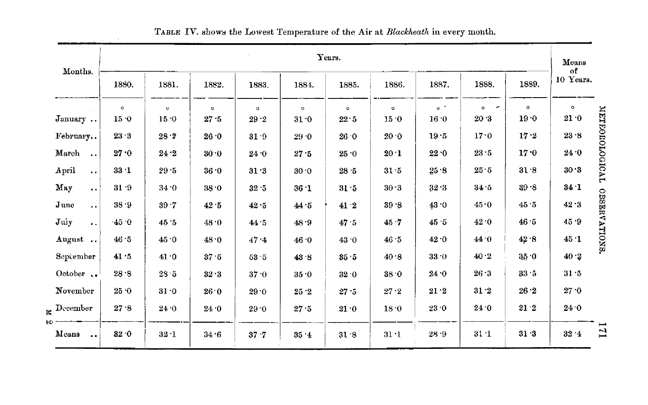| Months.                        |              |                 |         |             |          | Years.       |             |           |                     |              | Means<br>of     |
|--------------------------------|--------------|-----------------|---------|-------------|----------|--------------|-------------|-----------|---------------------|--------------|-----------------|
|                                | 1880.        | 1881.           | 1882.   | 1883.       | 1884.    | 1885.        | 1886.       | 1887.     | 1888.               | 1889.        | 10 Years.       |
|                                | $\mathbf{o}$ | $\circ$         | $\circ$ | $\circ$     | $\circ$  | $\mathbf{o}$ | $\circ$     | $\circ$ . | o<br>$\mathbf{r}^*$ | $\circ$      | $\circ$<br>21.0 |
| January                        | 15.0         | $15-0$          | 27.5    | 29.2        | $31 - 0$ | 22.5         | 15.0        | 16.0      | 20.3                | 19.0         |                 |
| February                       | 23.3         | 28.2            | 26.0    | 31.9        | 29.0     | 26.0         | 20.0        | 19.5      | 17.0                | $17-2$       | $\bf 23.8$      |
| March<br>$\ddot{\phantom{a}}$  | 27.0         | 24.2            | 30.0    | 24.0        | 27.5     | 25.0         | 20.1        | 22.0      | 23.5                | 17.0         | 24.0            |
| April<br>$\ddot{\phantom{a}}$  | 33'1         | $29 - 5$        | 36.0    | 31.3        | 30.0     | $28 - 5$     | 31.5        | 25.8      | 25.5                | 31.8         | 30.3            |
| May<br>$\ddot{\phantom{a}}$    | 31.9         | 34.0            | 38.0    | $32\cdot 5$ | 36.1     | 31.5         | $30\cdot 3$ | 32.3      | 34.5                | 39.8         | 34.1            |
| June<br>$\ddot{\phantom{a}}$   | 38.9         | 39.7            | 42.5    | 42.5        | 44.5     | 41.2         | 39.8        | 43.0      | 45.0                | 45.5         | 42.3            |
| July<br>$\ddot{\phantom{a}}$ . | $-45-0$      | 45.5            | 48.0    | 44.5        | 48.9     | 47.5         | 45.7        | 45.5      | 42.0                | 46.5         | 45.9            |
| August                         | 46.5         | 45.0            | 48.0    | 47.4        | 46.0     | 43.0         | 46.5        | 42.0      | 44.0                | 42.8         | 45.1            |
| September                      | 41.5         | 41.0            | 37.6    | $53 - 5$    | 43.8     | 35.5         | 40.8        | 33.0      | 40.2                | 35.0         | 40.2            |
| October                        | 28.9         | 2S <sub>5</sub> | 32.3    | 37.0        | 35.0     | 32.0         | 38.0        | 24.0      | 26.3                | 33.5         | 31.5            |
| November                       | 25.0         | 31.0            | 26.0    | 29.0        | 25.2     | $27 - 5$     | $27\cdot 2$ | 21.2      | 31.2                | 26.2         | 27.0            |
| $\mathbf{s}$ December          | 27.8         | 24.0            | 24.0    | 29.0        | 27.5     | 21.0         | 18.0        | 23.0      | 24.0                | $21 \cdot 2$ | $24\cdot 0$     |
| Means<br>$\ddot{\phantom{a}}$  | 32.0         | $32 - 1$        | 34.6    | $37 - 7$    | 35.4     | 31.8         | 31.1        | 28.9      | 31.1                | 31.3         | 32.4            |

TABLE IV. shows the Lowest Temperature of the Air at Blackheath in every month.

 $\mathcal{L}$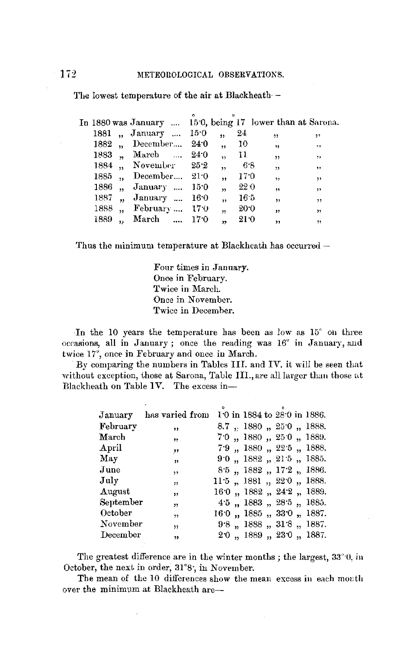|          |                                   |      |                      |      | In 1880 was January  150, being 17 lower than at Sarona. |                      |
|----------|-----------------------------------|------|----------------------|------|----------------------------------------------------------|----------------------|
|          | 1881 "January  15.0               |      | ,,                   | 24   | ,,                                                       | ,,                   |
| 1882,    | December 24.0                     |      | ,                    | 10   | 99                                                       | 77                   |
| $1883$ , | March , 24.0                      |      | $\ddot{\phantom{1}}$ | 11   | ,                                                        | $\ddot{\phantom{a}}$ |
| 1884     | $\rm\,November \, \, \, \, -25.2$ |      | ,,                   | -68  | ,                                                        | ,,                   |
| 1885     | December 21.0                     |      | ,,                   | 17.0 | ,                                                        | ,,                   |
| 1886     | January  15.0                     |      | ,,                   | 22 0 | ,,                                                       | ,,                   |
| 1887     | January                           | 16.0 | ,,                   | 16.5 | ,                                                        | ,,                   |
| 1888     | February                          | -170 | ,,                   | 20:0 | ,                                                        | ,,                   |
| 1889     | March                             | 17.0 | $\ddot{\phantom{1}}$ | 21.0 | ,,                                                       | ,                    |
|          |                                   |      |                      |      |                                                          |                      |

The lowest temperature of the air at Blackheath -

Thus the minimum temperature at Blackheath has occurred -

Four times in January. Once in February. Twice in March. Once in November. Twice in December.

In the 10 years the temperature has been as low as  $15^{\circ}$  on three occasions, all in January; once the reading was 16° in January, and twice 17°, once in February and once in March.

By comparing the numbers in Tables III. and IV. it will be seen that without exception, those at Sarona, Table III., are all larger than those at Blackheath on Table 1V. The excess in--

| January   | has varied from         |  |  |  | 10 in 1884 to 280 in 1886.          |
|-----------|-------------------------|--|--|--|-------------------------------------|
| February  | , 1                     |  |  |  | 8.7, 1880, 250, 1888.               |
| March     | "                       |  |  |  | 7.0, 1880, 250, 1889.               |
| April     | ,,                      |  |  |  | 7.9, 1880, 22.5, 1888.              |
| May       | ,,                      |  |  |  | $9.0$ , $1882$ , $21.5$ , $1885$ .  |
| June      | 55                      |  |  |  | $8.5$ , $1882$ , $17.2$ , $1886$ .  |
| July      | $\overline{\mathbf{1}}$ |  |  |  | $11.5$ , 1881, 22.0, 1888.          |
| August    | ,,                      |  |  |  | $160$ , $1882$ , $242$ , $1889$ .   |
| September | ,,                      |  |  |  | $4.5$ , $1883$ , $28.5$ , $1885$ .  |
| October   | , 1                     |  |  |  | $16.0$ , $1885$ , $33.0$ , $1887$ . |
| November  | , 1                     |  |  |  | $9.8$ , $1888$ , $31.8$ , $1887$ .  |
| December  | 55                      |  |  |  | 20, 1889, 230, 1887.                |

The greatest difference are in the winter months ; the largest, 33"·0, iu October, the next in order, 31°8; in November.

The mean of the 10 differences show the mean excess in each month over the minimum at Blackheath are-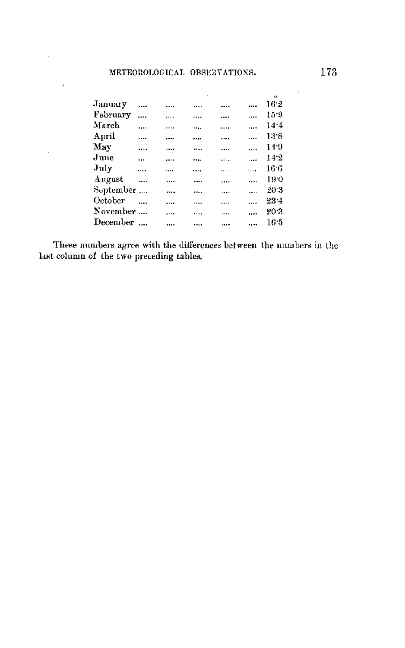## METEOROLOGICAL OBSERVATIONS.

 $\bar{z}$ 

 $\sim$ 

| January   | $\cdots$   | $\cdots$ | $\cdots$ |          |           | 16.2 |
|-----------|------------|----------|----------|----------|-----------|------|
| February  | $\cdots$   | $\cdots$ | $\cdots$ | $\cdots$ |           | 15.9 |
| March     |            | $\cdots$ | $\cdots$ |          | $\cdots$  | 14.4 |
| April     | $\cdots$   |          |          |          | $\cdots$  | 13.8 |
| May       | $\cdots$   |          | $\cdots$ |          | $\cdots$  | 14.9 |
| June      | $\ddotsc$  | $\cdots$ |          | $\cdots$ | $\cdots$  | 142  |
| $J$ uly   | $\dddotsc$ |          |          |          | $\cdots$  | 16.6 |
| August    | $\sim$     |          | $\cdots$ |          | $\ddotsc$ | 19.0 |
| September |            |          |          | $\cdots$ | $\ddotsc$ | 20.3 |
| October   | $\sim$     | $\cdots$ |          |          | $\cdots$  | 23.4 |
| November  |            |          |          |          |           | 20.3 |
| December  |            |          |          |          |           | 16.5 |
|           |            |          |          |          |           |      |

These numbers agree with the differences between the numbers in the last column of the two preceding tables.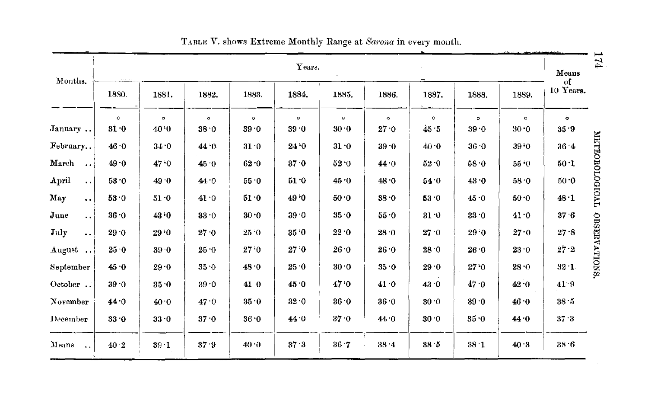| Months.                         |                 |                 |                 |                 | Years.          |                  |                   |                           |                 |                 | $\mathbb{H}$<br>Means<br>of |
|---------------------------------|-----------------|-----------------|-----------------|-----------------|-----------------|------------------|-------------------|---------------------------|-----------------|-----------------|-----------------------------|
|                                 | 1880.           | 1881.           | 1882.           | 1883.           | 1884.           | 1885.            | 1886.             | 1887.                     | 1888.           | 1889.           | 10 Years.                   |
| January                         | $\circ$<br>31.0 | $\circ$<br>40.0 | $\circ$<br>38.0 | $\circ$<br>39.0 | $\circ$<br>39.0 | $\sigma$<br>30.0 | $\bullet$<br>27.0 | $\ddot{\text{o}}$<br>45 5 | $\circ$<br>39.0 | $\circ$<br>30.0 | $\bullet$<br>35.9           |
| February                        | 46.0            | 34.0            | 44.0            | 31.0            | 24.0            | 31.0             | 39.0              | 40.0                      | 36.0            | 39.0            | METEOROLOGICAL<br>$36 - 4$  |
| March<br>$\ddotsc$              | 49.0            | 47.0            | 45.0            | 62.0            | 37.0            | 52.0             | 44.0              | 52.0                      | 58.0            | $55 - 0$        | 50.1                        |
| April<br>$\ddot{\phantom{a}}$ . | 53.0            | 49.0            | 44.0            | 55.0            | 51.0            | 45.0             | 48.0              | 54.0                      | 43.0            | 58.0            | 50.0                        |
| May<br>$\ddot{\phantom{a}}$     | 53.0            | 51.0            | 41.0            | 51.0            | 49.0            | 50.0             | 38.0              | 53 0                      | 45.0            | 50.0            | 48.1                        |
| June<br>$\ddot{\phantom{0}}$    | 36.0            | 43.0            | 33.0            | 30.0            | 39.0            | 35.0             | 55.0              | 31.0                      | 33.0            | 41.0            | 37.6                        |
| July<br>$\ddot{\phantom{a}}$ .  | 29.0            | 29.0            | 27.0            | 25.0            | 35.0            | 22.0             | 28.0              | 27.0                      | 29.0            | 27.0            | <b>OBSERVATIONS</b><br>27.8 |
| August                          | 25.0            | 39.0            | 25.0            | 27.0            | 27.0            | 26.0             | 26.0              | 28.0                      | 26.0            | 23.0            | $27\cdot\!2$                |
| September                       | 45.0            | 29.0            | 35.0            | 48.0            | 25.0            | 30.0             | 35.0              | 29.0                      | 27.0            | 28.0            | $32 \cdot 1$                |
| October                         | 39.0            | 35.0            | 39.0            | 41 0            | 45.0            | 47.0             | 41.0              | 43.0                      | 47.0            | 42.0            | $41^{\circ}9$               |
| November                        | 44.0            | 40.0            | 47.0            | 35.0            | 32.0            | 36.0             | 36.0              | 30.0                      | 39.0            | 46.0            | 38.5                        |
| December                        | 33.0            | 33.0            | 37.0            | 36.0            | 44.0            | 37.0             | 44.0              | 30.0                      | 35.0            | 44.0            | 37.3                        |
| Means<br>$\ddot{\phantom{a}}$   | 40.2            | $39-1$          | 37.9            | 40.0            | 37.3            | 36.7             | $38 - 4$          | 38.5                      | 38.1            | 40.3            | 38.6                        |

TABLE V. shows Extreme Monthly Range at Sarona in every month.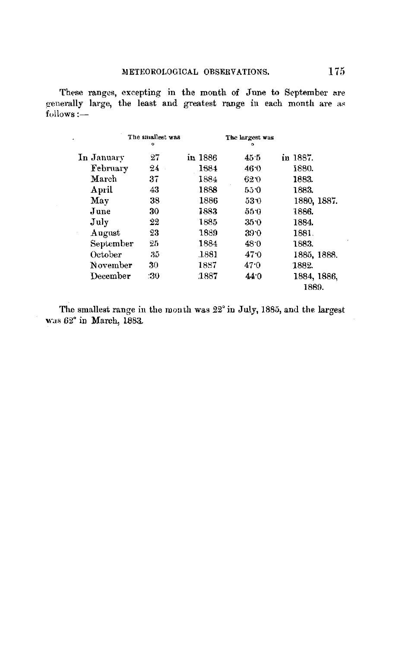These ranges, excepting in the month of June to September are<br>generally large, the least and greatest range in each month are as  $follows :=$ 

|            | The smallest was |         | The largest was |             |
|------------|------------------|---------|-----------------|-------------|
| In January | 27               | in 1886 | 455             | in 1887.    |
| February   | 24               | 1884    | 46.0            | 1880.       |
| March      | 37               | 1884    | 62.0            | 1883.       |
| April      | 43               | 1888    | 550             | 1883.       |
| May        | 38               | 1886    | 530             | 1880, 1887. |
| June       | 30               | 1883    | 550             | 1886.       |
| July       | 22               | 1885    | 35.0            | 1884.       |
| August     | 23               | 1889    | 390             | 1881.       |
| September  | 25               | 1884    | 48.0            | 1883.       |
| October    | 35               | 1881    | 47.0            | 1885, 1888. |
| November   | 30               | 1837    | 47.0            | 1882.       |
| December   | :30              | 1887    | 44.0            | 1884, 1886, |
|            |                  |         |                 | 1889.       |

The smallest range in the month was 22° in July, 1885, and the largest was 62° in March, 1883.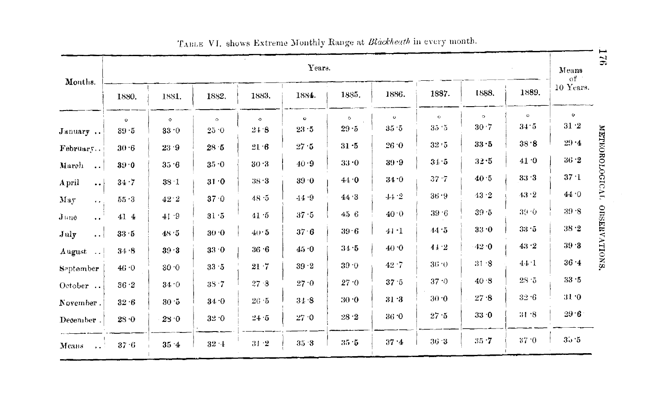|                              |           |           |          |          | Years.   |                 |           |              |              |          | Means<br>of : |
|------------------------------|-----------|-----------|----------|----------|----------|-----------------|-----------|--------------|--------------|----------|---------------|
| Months.                      | 1880.     | 1881.     | 1882.    | 1883.    | 1884.    | 1885.           | 1886.     | 1887.        | 1888.        | 1889.    | 10 Years.     |
|                              | $\bullet$ | $\bullet$ | $\circ$  | $\circ$  | $\circ$  | $\circ$         | $\bullet$ | $\mathbf{o}$ | $\circ$      | $\circ$  | ۰             |
| January                      | $39 - 5$  | 33.0      | $25 - 0$ | 24.8     | $23 - 5$ | $29 - 5$        | 35.5      | 35 5         | 30.7         | 34.5     | 31.2          |
| February                     | $30-6$    | 23.9      | $28 - 5$ | 21.6     | 27.5     | $31 - 5$        | 26:0      | $32\cdot 5$  | $33 \cdot 5$ | 38.8     | $29 - 4$      |
| March<br>$\ddotsc$           | $39 - 0$  | 35.6      | 35.0     | $30 - 3$ | 40.9     | $33 - 0$        | 39.9      | 34.5         | 32.5         | 41.0     | $36\cdot 2$   |
| A.pril<br>$\ddotsc$          | 34.7      | $38-1$    | 31.0     | $38-3$   | $39.0$   | 44.0            | $34 - 0$  | 37/7         | $40-5$       | 33.3     | 37.1          |
| May<br>$\sim$                | $55 - 3$  | 42.2      | 37.0     | $48 - 5$ | $44.9$   | 44.3            | $-11.2$   | 36.9         | 43.2         | 43.2     | 44.0          |
| June<br>$\ddot{\phantom{1}}$ | 41 4      | 41.9      | $31-5$   | $41-5$   | 37.5     | 456             | 40.0      | 39.6         | 39.5         | $39 - 0$ | $39.8$        |
| July<br>$\cdot$ .            | $33 - 5$  | 48.5      | 30.0     | 40.5     | 37.6     | 39.6            | 41.1      | 44.5         | $33 - 0$     | 33.5     | $38.2\,$      |
| August                       | 34.8      | 39.3      | $33 - 0$ | $36 - 6$ | 45.0     | 34.5            | 40.0      | 41.2         | 42.0         | 43.2     | 39.3          |
| September                    | 46.0      | 30.0      | 33.5     | $21 - 7$ | $39 - 2$ | $39 - 0$        | 42.7      | $36 - 0$     | $31 - 8$     | $4 + 1$  | 36.4          |
| October                      | 36.2      | 34.0      | 3S/7     | 27.8     | 27.0     | 27 <sub>0</sub> | 37.5      | 37.0         | 40.8         | $28-5$   | 33.5          |
| November.                    | 32.6      | 30.5      | $34 - 0$ | $26-5$   | 31.8     | 30.0            | 31.3      | $30-0$       | 27.8         | 32.6     | 31.0          |
| December.                    | 28.0      | 250       | 32.0     | $24 - 5$ | 27.0     | $28.2$          | 36.0      | 27.5         | 33.0         | 31.8     | 29.6          |
| Means<br>$\sim$              | 37.6      | 354       | $32 - 1$ | $31 - 2$ | 35.3     | 35.5            | 37.4      | $36 - 3$     | $35 - 7$     | 37.0     | 35.5          |

TABLE VI. shows Extreme Monthly Range at Blackheath in every month.

176

METEOROLOGICAL, OBSERVATIONS.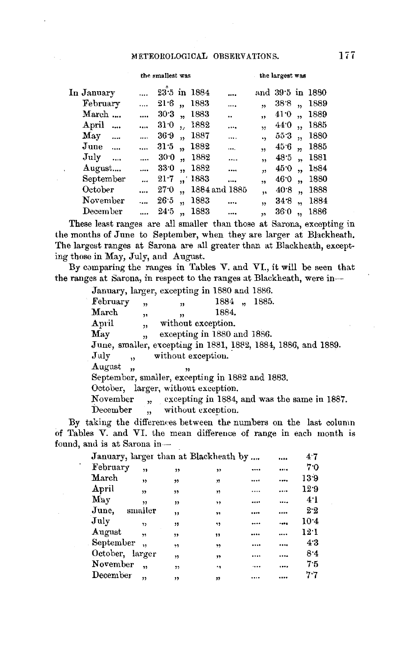|  | the smallest was |  |
|--|------------------|--|
|--|------------------|--|

| In January  |           |          |                | $\ldots$ 23.5 in 1884 |           |                      |          |                      | and 39.5 in 1880 |
|-------------|-----------|----------|----------------|-----------------------|-----------|----------------------|----------|----------------------|------------------|
| February    | .         | $21.6$ , |                | 1883                  | $\cdots$  | $\ddot{\phantom{0}}$ | 38.8,    |                      | 1889             |
| March       | $\cdots$  |          |                | $30.3$ , 1883         | ä.        |                      | 41 O     | $\ddot{\phantom{a}}$ | 1889             |
| April       | $\cdots$  |          |                | 310, 1882             | $\cdots$  |                      | $44.0$ , |                      | 1885             |
| $May \dots$ | $\cdots$  |          |                | 369, 1887             | $\cdots$  |                      | 553,     |                      | 1880             |
| June        | $\cdots$  |          |                | $31.5$ , 1882         | $\ddotsc$ | $\ddot{\mathbf{v}}$  | 45.6,    |                      | 1885             |
| July        | asset in  |          |                | 30.0, 1882            | $\cdots$  | $\ddot{\phantom{0}}$ | $48.5$ , |                      | 1881             |
| August      |           |          |                | 330, 1882             | $\ddotsc$ | ٠,                   | 45.0     | ,                    | 1884             |
| September   |           |          |                | $21.7$ 1883           | $\cdots$  | $\ddot{\phantom{0}}$ | 46.0     | ,                    | 1880             |
| October     | $\ddotsc$ | 27.0     |                | ", 1884 and 1885      |           | ä.                   | 40.8     | $\ddot{ }$           | 1888             |
| November    |           | 26.5     | $\overline{1}$ | 1883                  | $\cdots$  | 12 <sup>1</sup>      | 34.8     | $\ddot{\phantom{a}}$ | 1884             |
| December    |           | 24 5     |                | ,, 1883               |           | $\ddot{\phantom{a}}$ | 36.0     | $\ddot{\phantom{a}}$ | 1886             |

December .... 24<sup>-5</sup> ,, 1883 .... , 36<sup>-0</sup> ,, 1886<br>These least ranges are all smaller than those at Sarona, excepting in the months of June to September, when they are larger at Blackheath. The largest ranges at Sarona are all greater than at Blackheath, excepting those in May, July, and August.

By comparing the ranges in Tables **V.** and **VI.**, it will be seen that the ranges at Sarona, in respect to the ranges at Blackheath, were in-

> .January, larger, excepting in 1880 and 1886. February ,, ,, 1884 ,, 1885. March , , , 1884.<br>April . without exception. ,, without exception. May ,, excepting in 1880 and 1886. June, smaller, excepting in 1881, 1882, 1884, 1886, and 1889. July , without exception. August ,, ,, September, smaller, excepting in 1882 and 1883. October, larger, without exception. November ,, excepting in 1884, and was the same in 1887. December ,, without exception.

By taking the differences between the numbers on the last column of Tables V. and VI. the mean difference of range in each month 1s found, and is at Sarona in --

|                 |         |    | January, larger than at Blackheath by |      | 4.7   |
|-----------------|---------|----|---------------------------------------|------|-------|
| February        | ,,      | ,, | ,,                                    | <br> | 70    |
| March           | ,,      | 99 | $\boldsymbol{v}$                      | <br> | 13.9  |
| April           | "       | 39 | 55                                    |      | 12.9  |
| May             | ,       | "  | ,,                                    | <br> | 4:1   |
| June.           | smaller | ,, | $\bullet$                             | <br> | $2-2$ |
| July            | , ,     | ,, | 12                                    | <br> | 10.4  |
| August          | M       | ,, | ,,                                    | <br> | 12 1  |
| September       |         | ,, | ,,                                    | <br> | 43    |
| October, larger |         | ,  | ,,                                    | <br> | 8.4   |
| November        | ٩ŧ      | ,  | ٠.                                    |      | 7.5   |
| December        | 99      | "  | n                                     |      | 77    |
|                 |         |    |                                       |      |       |